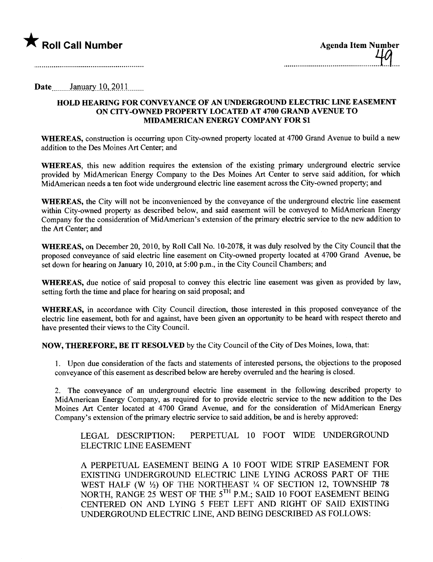

| Agenda Item Number<br>  A |  |
|---------------------------|--|
|                           |  |

## Date..........January 10, 2011

## HOLD HEARING FOR CONVEYANCE OF AN UNDERGROUND ELECTRIC LINE EASEMENT ON CITY-OWNED PROPERTY LOCATED AT 4700 GRAND AVENUE TO MIDAMERICAN ENERGY COMPANY FOR \$1

WHEREAS, construction is occurring upon City-owned property located at 4700 Grand Avenue to build a new addition to the Des Moines Art Center; and

WHEREAS, this new addition requires the extension of the existing primary underground electric service provided by MidAmerican Energy Company to the Des Moines Art Center to serve said addition, for which MidAmerican needs a ten foot wide underground electric line easement across the City-owned property; and

WHEREAS, the City will not be inconvenienced by the conveyance of the underground electric line easement within City-owned property as described below, and said easement will be conveyed to MidAmerican Energy Company for the consideration of MidAmerican's extension of the primary electric service to the new addition to the Art Center; and

WHEREAS, on December 20,2010, by Roll Call No. 10-2078, it was duly resolved by the City Council that the proposed conveyance of said electric line easement on City-owned property located at 4700 Grand Avenue, be set down for hearing on January 10,2010, at 5:00 p.m., in the City Council Chambers; and

WHEREAS, due notice of said proposal to convey this electric line easement was given as provided by law, setting forth the time and place for hearing on said proposal; and

WHEREAS, in accordance with City Council direction, those interested in this proposed conveyance of the electric line easement, both for and against, have been given an opportunity to be heard with respect thereto and have presented their views to the City CounciL.

NOW, THEREFORE, BE IT RESOLVED by the City Council of the City of Des Moines, Iowa, that:

1. Upon due consideration of the facts and statements of interested persons, the objections to the proposed conveyance of this easement as described below are hereby overruled and the hearing is closed.

2. The conveyance of an underground electric line easement in the following described property to MidAmerican Energy Company, as required for to provide electric service to the new addition to the Des Moines Art Center located at 4700 Grand Avenue, and for the consideration of MidAmerican Energy Company's extension of the primary electric service to said addition, be and is hereby approved:

LEGAL DESCRIPTION: PERPETUAL 10 FOOT WIDE UNDERGROUND ELECTRIC LINE EASEMENT

A PERPETUAL EASEMENT BEING A 10 FOOT WIDE STRIP EASEMENT FOR EXISTING UNDERGROUND ELECTRIC LINE LYING ACROSS PART OF THE WEST HALF (W  $\frac{1}{2}$ ) OF THE NORTHEAST  $\frac{1}{4}$  OF SECTION 12, TOWNSHIP 78 NORTH, RANGE 25 WEST OF THE 5<sup>TH</sup> P.M.; SAID 10 FOOT EASEMENT BEING CENTERED ON AND LYING 5 FEET LEFT AND RIGHT OF SAID EXISTING UNDERGROUND ELECTRIC LINE, AND BEING DESCRIBED AS FOLLOWS: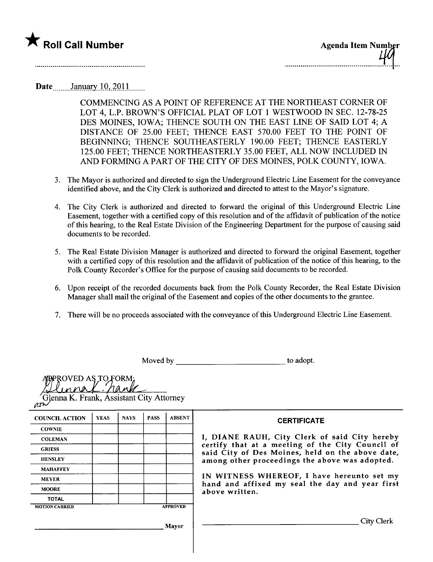

Date January  $10, 2011$ 

COMMENCING AS A POINT OF REFERENCE AT THE NORTHEAST CORNER OF LOT 4, L.P. BROWN'S OFFICIAL PLAT OF LOT 1 WESTWOOD IN SEC. 12-78-25 DES MOINES, IOWA; THENCE SOUTH ON THE EAST LINE OF SAID LOT 4; A DISTANCE OF 25.00 FEET; THENCE EAST 570.00 FEET TO THE POINT OF BEGINING; THENCE SOUTHEASTERLY 190.00 FEET; THENCE EASTERLY 125.00 FEET; THENCE NORTHEASTERLY 35.00 FEET, ALL NOW INCLUDED IN AND FORMING A PART OF THE CITY OF DES MOINES, POLK COUNTY, IOWA.

- 3. The Mayor is authorized and directed to sign the Underground Electric Line Easement for the conveyance identified above, and the City Clerk is authorized and directed to attest to the Mayor's signature.
- 4. The City Clerk is authorized and directed to forward the original of this Underground Electric Line Easement, together with a certified copy of this resolution and of the affdavit of publication of the notice of this hearing, to the Real Estate Division of the Engineering Department for the purpose of causing said documents to be recorded.
- 5. The Real Estate Division Manager is authorized and directed to forward the original Easement, together with a certified copy of this resolution and the affidavit of publication of the notice of this hearing, to the Polk County Recorder's Office for the purpose of causing said documents to be recorded.
- 6. Upon receipt of the recorded documents back from the Polk County Recorder, the Real Estate Division Manager shall mail the original of the Easement and copies of the other documents to the grantee.
- 7. There wil be no proceeds associated with the conveyance of this Underground Electric Line Easement.

Moved by to adopt.

| ROVED AS TO FORM:<br>Glenna K. Frank, Assistant City Attorney<br>$e^{n}$ |             |             |             |                                                                   |                                                                                                      |  |  |
|--------------------------------------------------------------------------|-------------|-------------|-------------|-------------------------------------------------------------------|------------------------------------------------------------------------------------------------------|--|--|
| <b>COUNCIL ACTION</b>                                                    | <b>YEAS</b> | <b>NAYS</b> | <b>PASS</b> | <b>ABSENT</b>                                                     | <b>CERTIFICATE</b>                                                                                   |  |  |
| <b>COWNIE</b>                                                            |             |             |             |                                                                   |                                                                                                      |  |  |
| <b>COLEMAN</b>                                                           |             |             |             | I, DIANE RAUH, City Clerk of said City hereby                     |                                                                                                      |  |  |
| <b>GRIESS</b>                                                            |             |             |             |                                                                   | certify that at a meeting of the City Council of<br>said City of Des Moines, held on the above date, |  |  |
| <b>HENSLEY</b>                                                           |             |             |             |                                                                   | among other proceedings the above was adopted.                                                       |  |  |
| <b>MAHAFFEY</b>                                                          |             |             |             |                                                                   |                                                                                                      |  |  |
| <b>MEYER</b>                                                             |             |             |             |                                                                   | IN WITNESS WHEREOF, I have hereunto set my                                                           |  |  |
| <b>MOORE</b>                                                             |             |             |             | hand and affixed my seal the day and year first<br>above written. |                                                                                                      |  |  |
| <b>TOTAL</b>                                                             |             |             |             |                                                                   |                                                                                                      |  |  |
| <b>MOTION CARRIED</b>                                                    |             |             |             | <b>APPROVED</b>                                                   |                                                                                                      |  |  |
|                                                                          |             |             |             | Mayor                                                             | City Clerk                                                                                           |  |  |